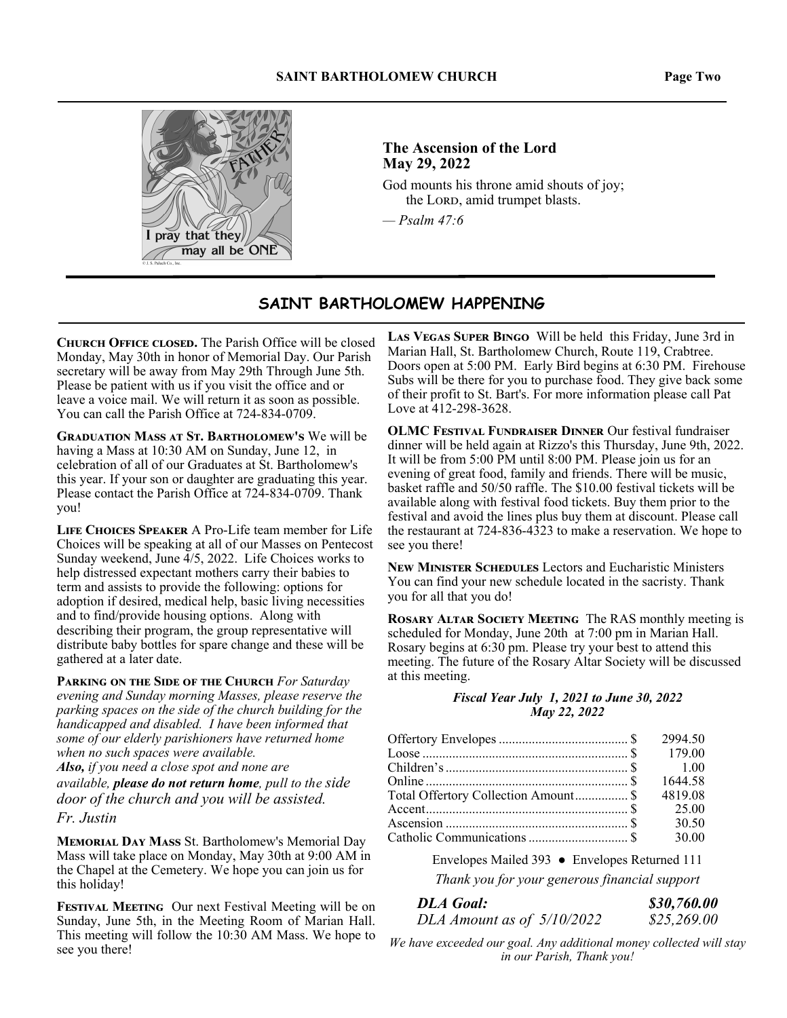

## **The Ascension of the Lord May 29, 2022**

God mounts his throne amid shouts of joy; the LORD, amid trumpet blasts.

*— Psalm 47:6*

## **SAINT BARTHOLOMEW HAPPENING**

**CHURCH OFFICE CLOSED.** The Parish Office will be closed Monday, May 30th in honor of Memorial Day. Our Parish secretary will be away from May 29th Through June 5th. Please be patient with us if you visit the office and or leave a voice mail. We will return it as soon as possible. You can call the Parish Office at 724-834-0709.

**GRADUATION MASS AT ST. BARTHOLOMEW'S We will be** having a Mass at 10:30 AM on Sunday, June 12, in celebration of all of our Graduates at St. Bartholomew's this year. If your son or daughter are graduating this year. Please contact the Parish Office at 724-834-0709. Thank you!

**LIFE CHOICES SPEAKER A Pro-Life team member for Life** Choices will be speaking at all of our Masses on Pentecost Sunday weekend, June  $\frac{1}{5}$ , 2022. Life Choices works to help distressed expectant mothers carry their babies to term and assists to provide the following: options for adoption if desired, medical help, basic living necessities and to find/provide housing options. Along with describing their program, the group representative will distribute baby bottles for spare change and these will be gathered at a later date.

**PARKING ON THE SIDE OF THE CHURCH For Saturday** *evening and Sunday morning Masses, please reserve the parking spaces on the side of the church building for the handicapped and disabled. I have been informed that some of our elderly parishioners have returned home when no such spaces were available.* 

*Also, if you need a close spot and none are* 

*available, please do not return home, pull to the side door of the church and you will be assisted.* 

*Fr. Justin* 

**MEMORIAL DAY MASS St. Bartholomew's Memorial Day** Mass will take place on Monday, May 30th at 9:00 AM in the Chapel at the Cemetery. We hope you can join us for this holiday!

**FESTIVAL MEETING** Our next Festival Meeting will be on Sunday, June 5th, in the Meeting Room of Marian Hall. This meeting will follow the 10:30 AM Mass. We hope to see you there!

LAS VEGAS SUPER BINGO Will be held this Friday, June 3rd in Marian Hall, St. Bartholomew Church, Route 119, Crabtree. Doors open at 5:00 PM. Early Bird begins at 6:30 PM. Firehouse Subs will be there for you to purchase food. They give back some of their profit to St. Bart's. For more information please call Pat Love at 412-298-3628.

**OLMC FESTIVAL FUNDRAISER DINNER Our festival fundraiser** dinner will be held again at Rizzo's this Thursday, June 9th, 2022. It will be from 5:00 PM until 8:00 PM. Please join us for an evening of great food, family and friends. There will be music, basket raffle and 50/50 raffle. The \$10.00 festival tickets will be available along with festival food tickets. Buy them prior to the festival and avoid the lines plus buy them at discount. Please call the restaurant at 724-836-4323 to make a reservation. We hope to see you there!

**NEW MINISTER SCHEDULES Lectors and Eucharistic Ministers** You can find your new schedule located in the sacristy. Thank you for all that you do!

**ROSARY ALTAR SOCIETY MEETING** The RAS monthly meeting is scheduled for Monday, June 20th at 7:00 pm in Marian Hall. Rosary begins at 6:30 pm. Please try your best to attend this meeting. The future of the Rosary Altar Society will be discussed at this meeting.

#### *Fiscal Year July 1, 2021 to June 30, 2022 May 22, 2022*

|                                      | 2994.50 |
|--------------------------------------|---------|
|                                      |         |
|                                      |         |
|                                      | 1644.58 |
| Total Offertory Collection Amount \$ | 4819.08 |
|                                      |         |
|                                      | 30.50   |
|                                      | 30.00   |

Envelopes Mailed 393 ● Envelopes Returned 111

*Thank you for your generous financial support* 

| <b>DLA Goal:</b>             | \$30,760.00 |
|------------------------------|-------------|
| DLA Amount as of $5/10/2022$ | \$25,269.00 |

*We have exceeded our goal. Any additional money collected will stay in our Parish, Thank you!*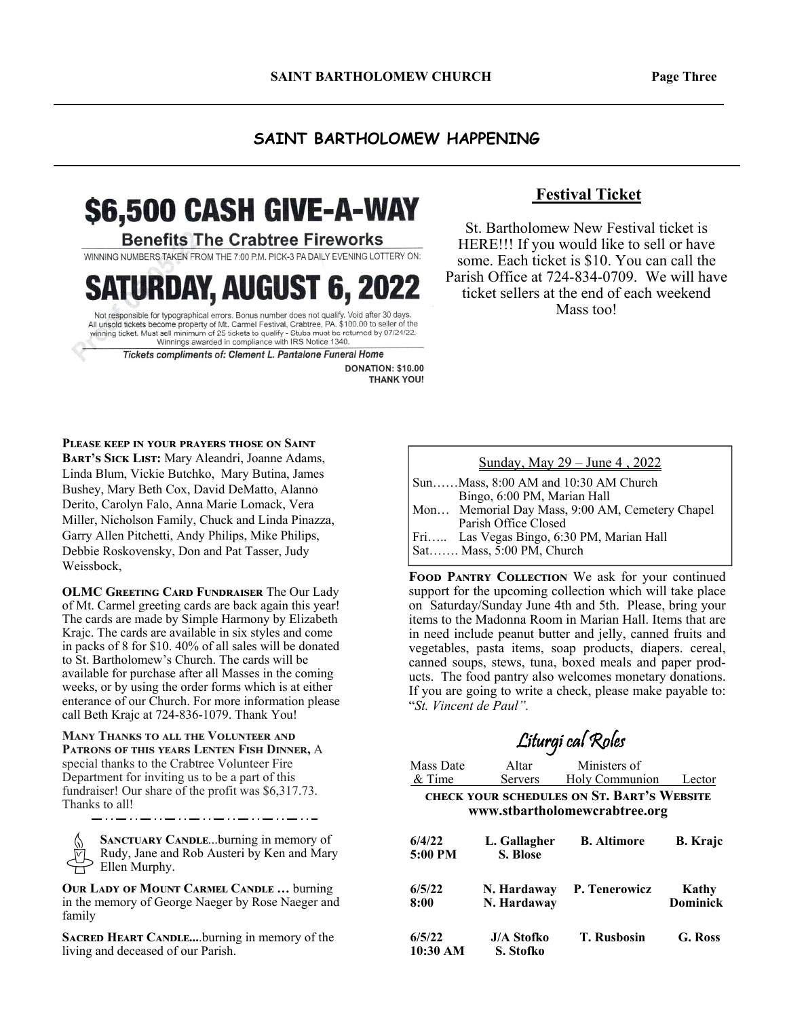## **SAINT BARTHOLOMEW HAPPENING**

# \$6,500 CASH GIVE-A-WAY

### **Benefits The Crabtree Fireworks**

WINNING NUMBERS TAKEN FROM THE 7:00 P.M. PICK-3 PA DAILY EVENING LOTTERY ON:

**RDAY, AUGUST 6, 2022** 

Not responsible for typographical errors. Bonus number does not qualify. Void after 30 days. Nui responsible for property of Mt. Carmel Festival, Crabtee, PA. \$100.00 to seller of the All unsold tickets become property of Mt. Carmel Festival, Crabtee, PA. \$100.00 to seller of the winning ticket. Must sell minimum Winnings awarded in compliance with IRS Notice 1340.

Tickets compliments of: Clement L. Pantalone Funeral Home

DONATION: \$10.00 **THANK YOU!** 

## **Festival Ticket**

St. Bartholomew New Festival ticket is HERE!!! If you would like to sell or have some. Each ticket is \$10. You can call the Parish Office at 724-834-0709. We will have ticket sellers at the end of each weekend Mass too!

**PLEASE KEEP IN YOUR PRAYERS THOSE ON SAINT** 

BART'S SICK LIST: Mary Aleandri, Joanne Adams, Linda Blum, Vickie Butchko, Mary Butina, James Bushey, Mary Beth Cox, David DeMatto, Alanno Derito, Carolyn Falo, Anna Marie Lomack, Vera Miller, Nicholson Family, Chuck and Linda Pinazza, Garry Allen Pitchetti, Andy Philips, Mike Philips, Debbie Roskovensky, Don and Pat Tasser, Judy Weissbock,

**OLMC GREETING CARD FUNDRAISER The Our Lady** of Mt. Carmel greeting cards are back again this year! The cards are made by Simple Harmony by Elizabeth Krajc. The cards are available in six styles and come in packs of 8 for \$10. 40% of all sales will be donated to St. Bartholomew's Church. The cards will be available for purchase after all Masses in the coming weeks, or by using the order forms which is at either enterance of our Church. For more information please call Beth Krajc at 724-836-1079. Thank You!

**MANY THANKS TO ALL THE VOLUNTEER AND** PATRONS OF THIS YEARS LENTEN FISH DINNER, A special thanks to the Crabtree Volunteer Fire Department for inviting us to be a part of this fundraiser! Our share of the profit was \$6,317.73. Thanks to all!

**SANCTUARY CANDLE...burning in memory of** Rudy, Jane and Rob Austeri by Ken and Mary Ellen Murphy.

**OUR LADY OF MOUNT CARMEL CANDLE ... burning** in the memory of George Naeger by Rose Naeger and family

**SACRED HEART CANDLE....burning in memory of the** living and deceased of our Parish.

#### Sunday, May 29 – June 4 , 2022

- Sun……Mass, 8:00 AM and 10:30 AM Church Bingo, 6:00 PM, Marian Hall Mon… Memorial Day Mass, 9:00 AM, Cemetery Chapel
- Parish Office Closed Fri….. Las Vegas Bingo, 6:30 PM, Marian Hall

Sat……. Mass, 5:00 PM, Church

FOOD PANTRY COLLECTION We ask for your continued support for the upcoming collection which will take place on Saturday/Sunday June 4th and 5th. Please, bring your items to the Madonna Room in Marian Hall. Items that are in need include peanut butter and jelly, canned fruits and vegetables, pasta items, soap products, diapers. cereal, canned soups, stews, tuna, boxed meals and paper products. The food pantry also welcomes monetary donations. If you are going to write a check, please make payable to: "*St. Vincent de Paul".* 

Liturgi cal Roles

## Mass Date Altar Ministers of & Time Servers Holy Communion Lector CHECK YOUR SCHEDULES ON ST. BART'S WEBSITE **www.stbartholomewcrabtree.org 6/4/22 L. Gallagher B. Altimore B. Krajc 5:00 PM S. Blose**

| 6/5/22             | N. Hardaway                    | P. Tenerowicz      | Kathy           |
|--------------------|--------------------------------|--------------------|-----------------|
| 8:00               | N. Hardaway                    |                    | <b>Dominick</b> |
| 6/5/22<br>10:30 AM | <b>J/A Stofko</b><br>S. Stofko | <b>T. Rusbosin</b> | G. Ross         |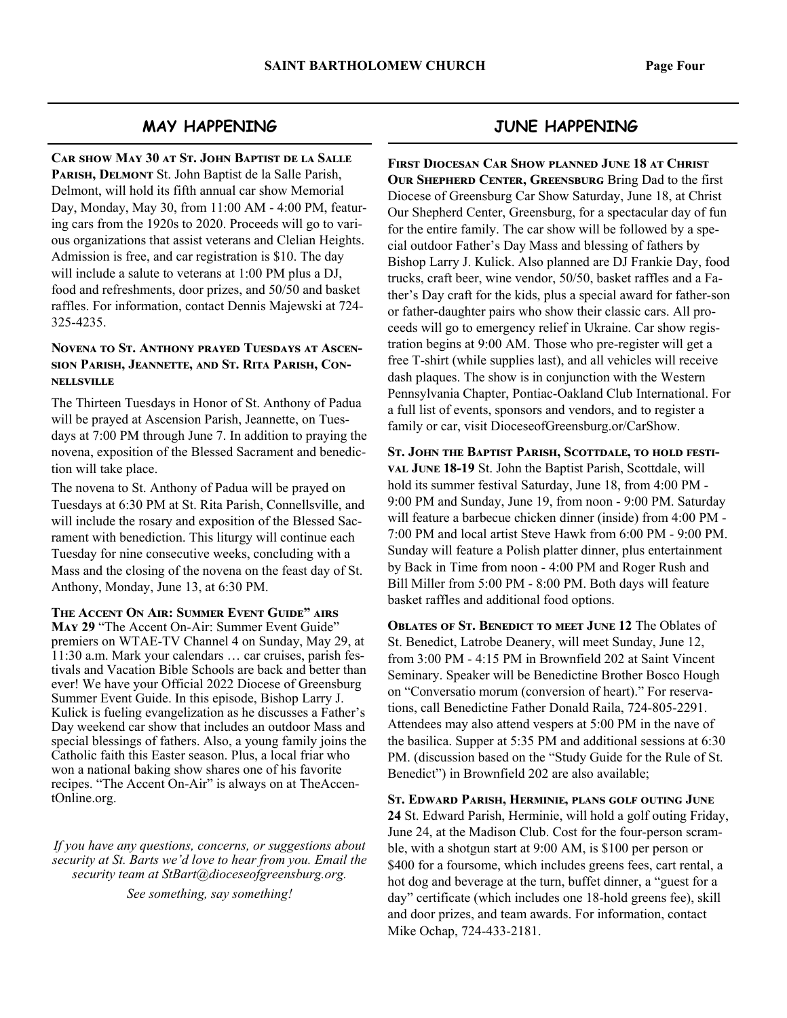## **MAY HAPPENING**

CAR SHOW MAY 30 AT ST. JOHN BAPTIST DE LA SALLE PARISH, DELMONT St. John Baptist de la Salle Parish, Delmont, will hold its fifth annual car show Memorial Day, Monday, May 30, from 11:00 AM - 4:00 PM, featuring cars from the 1920s to 2020. Proceeds will go to various organizations that assist veterans and Clelian Heights. Admission is free, and car registration is \$10. The day will include a salute to veterans at 1:00 PM plus a DJ, food and refreshments, door prizes, and 50/50 and basket raffles. For information, contact Dennis Majewski at 724- 325-4235.

### **NOVENA TO ST. ANTHONY PRAYED TUESDAYS AT ASCEN-**SION PARISH, **JEANNETTE, AND ST. RITA PARISH, CON-NELLSVILLE**

The Thirteen Tuesdays in Honor of St. Anthony of Padua will be prayed at Ascension Parish, Jeannette, on Tuesdays at 7:00 PM through June 7. In addition to praying the novena, exposition of the Blessed Sacrament and benediction will take place.

The novena to St. Anthony of Padua will be prayed on Tuesdays at 6:30 PM at St. Rita Parish, Connellsville, and will include the rosary and exposition of the Blessed Sacrament with benediction. This liturgy will continue each Tuesday for nine consecutive weeks, concluding with a Mass and the closing of the novena on the feast day of St. Anthony, Monday, June 13, at 6:30 PM.

**THE ACCENT ON AIR: SUMMER EVENT GUIDE" AIRS** May 29 "The Accent On-Air: Summer Event Guide" premiers on WTAE-TV Channel 4 on Sunday, May 29, at 11:30 a.m. Mark your calendars … car cruises, parish festivals and Vacation Bible Schools are back and better than ever! We have your Official 2022 Diocese of Greensburg Summer Event Guide. In this episode, Bishop Larry J. Kulick is fueling evangelization as he discusses a Father's Day weekend car show that includes an outdoor Mass and special blessings of fathers. Also, a young family joins the Catholic faith this Easter season. Plus, a local friar who won a national baking show shares one of his favorite recipes. "The Accent On-Air" is always on at TheAccentOnline.org.

*If you have any questions, concerns, or suggestions about security at St. Barts we'd love to hear from you. Email the security team at StBart@dioceseofgreensburg.org.* 

*See something, say something!*

## **JUNE HAPPENING**

**FIRST DIOCESAN CAR SHOW PLANNED JUNE 18 AT CHRIST OUR SHEPHERD CENTER, GREENSBURG Bring Dad to the first** Diocese of Greensburg Car Show Saturday, June 18, at Christ Our Shepherd Center, Greensburg, for a spectacular day of fun for the entire family. The car show will be followed by a special outdoor Father's Day Mass and blessing of fathers by Bishop Larry J. Kulick. Also planned are DJ Frankie Day, food trucks, craft beer, wine vendor, 50/50, basket raffles and a Father's Day craft for the kids, plus a special award for father-son or father-daughter pairs who show their classic cars. All proceeds will go to emergency relief in Ukraine. Car show registration begins at 9:00 AM. Those who pre-register will get a free T-shirt (while supplies last), and all vehicles will receive dash plaques. The show is in conjunction with the Western Pennsylvania Chapter, Pontiac-Oakland Club International. For a full list of events, sponsors and vendors, and to register a family or car, visit DioceseofGreensburg.or/CarShow.

ST. JOHN THE BAPTIST PARISH, SCOTTDALE, TO HOLD FESTI-**VAL JUNE 18-19 St. John the Baptist Parish, Scottdale, will** hold its summer festival Saturday, June 18, from 4:00 PM - 9:00 PM and Sunday, June 19, from noon - 9:00 PM. Saturday will feature a barbecue chicken dinner (inside) from 4:00 PM - 7:00 PM and local artist Steve Hawk from 6:00 PM - 9:00 PM. Sunday will feature a Polish platter dinner, plus entertainment by Back in Time from noon - 4:00 PM and Roger Rush and Bill Miller from 5:00 PM - 8:00 PM. Both days will feature basket raffles and additional food options.

**OBLATES OF ST. BENEDICT TO MEET JUNE 12** The Oblates of St. Benedict, Latrobe Deanery, will meet Sunday, June 12, from 3:00 PM - 4:15 PM in Brownfield 202 at Saint Vincent Seminary. Speaker will be Benedictine Brother Bosco Hough on "Conversatio morum (conversion of heart)." For reservations, call Benedictine Father Donald Raila, 724-805-2291. Attendees may also attend vespers at 5:00 PM in the nave of the basilica. Supper at 5:35 PM and additional sessions at 6:30 PM. (discussion based on the "Study Guide for the Rule of St. Benedict") in Brownfield 202 are also available;

ST. EDWARD PARISH, HERMINIE, PLANS GOLF OUTING JUNE **24** St. Edward Parish, Herminie, will hold a golf outing Friday, June 24, at the Madison Club. Cost for the four-person scramble, with a shotgun start at 9:00 AM, is \$100 per person or \$400 for a foursome, which includes greens fees, cart rental, a hot dog and beverage at the turn, buffet dinner, a "guest for a day" certificate (which includes one 18-hold greens fee), skill and door prizes, and team awards. For information, contact Mike Ochap, 724-433-2181.